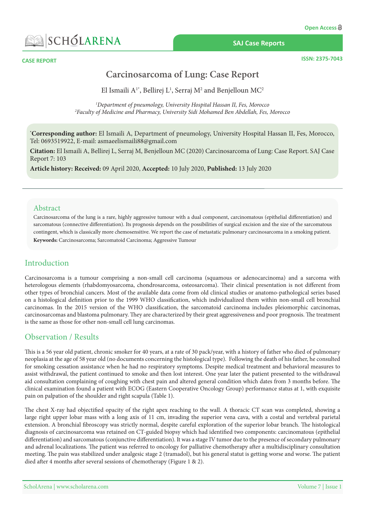**SAJ Case Reports** 



**CASE REPORT** 

# **Carcinosarcoma** of Lung: Case Report

El Ismaili A<sup>1\*</sup>, Bellirej L<sup>1</sup>, Serraj M<sup>2</sup> and Benjelloun MC<sup>2</sup>

<sup>1</sup>Department of pneumology, University Hospital Hassan II, Fes, Morocco ،<br><sup>2</sup> Faculty of Medicine and Pharmacy University Sidi Mohamed Ren Abdellah, Fes <sup>2</sup> Faculty of Medicine and Pharmacy, University Sidi Mohamed Ben Abdellah, Fes, Morocco

\*Corresponding author: El Ismaili A, Department of pneumology, University Hospital Hassan II, Fes, Morocco, Tel: 0693519922, E-mail: asmaeelismaili 88@gmail.com

Citation: El Ismaili A, Bellirej L, Serraj M, Benjelloun MC (2020) Carcinosarcoma of Lung: Case Report. SAJ Case Report 7: 103

Article history: Received: 09 April 2020, Accepted: 10 July 2020, Published: 13 July 2020

#### Abstract

Carcinosarcoma of the lung is a rare, highly aggressive tumour with a dual component, carcinomatous (epithelial differentiation) and sarcomatous (connective differentiation). Its prognosis depends on the possibilities of surgical excision and the size of the sarcomatous contingent, which is classically more chemosensitive. We report the case of metastatic pulmonary carcinosarcoma in a smoking patient.

Keywords: Carcinosarcoma; Sarcomatoid Carcinoma; Aggressive Tumour

# Introduction

Carcinosarcoma is a tumour comprising a non-small cell carcinoma (squamous or adenocarcinoma) and a sarcoma with heterologous elements (rhabdomyosarcoma, chondrosarcoma, osteosarcoma). Their clinical presentation is not different from other types of bronchial cancers. Most of the available data come from old clinical studies or anatomo-pathological series based on a histological definition prior to the 1999 WHO classification, which individualized them within non-small cell bronchial carcinomas. In the 2015 version of the WHO classification, the sarcomatoid carcinoma includes pleiomorphic carcinomas, carcinosarcomas and blastoma pulmonary. They are characterized by their great aggressiveness and poor prognosis. The treatment is the same as those for other non-small cell lung carcinomas.

### **Observation** / Results

This is a 56 year old patient, chronic smoker for 40 years, at a rate of 30 pack/year, with a history of father who died of pulmonary neoplasia at the age of 58 year old (no documents concerning the histological type). Following the death of his father, he consulted for smoking cessation assistance when he had no respiratory symptoms. Despite medical treatment and behavioral measures to assist withdrawal, the patient continued to smoke and then lost interest. One year later the patient presented to the withdrawal aid consultation complaining of coughing with chest pain and altered general condition which dates from 3 months before. The clinical examination found a patient with ECOG (Eastern Cooperative Oncology Group) performance status at 1, with exquisite pain on palpation of the shoulder and right scapula (Table 1).

The chest X-ray had objectified opacity of the right apex reaching to the wall. A thoracic CT scan was completed, showing a large right upper lobar mass with a long axis of 11 cm, invading the superior vena cava, with a costal and vertebral parietal extension. A bronchial fibroscopy was strictly normal, despite careful exploration of the superior lobar branch. The histological diagnosis of carcinosarcoma was retained on CT-guided biopsy which had identified two components: carcinomatous (epithelial differentiation) and sarcomatous (conjunctive differentiation). It was a stage IV tumor due to the presence of secondary pulmonary and adrenal localizations. The patient was referred to oncology for palliative chemotherapy after a multidisciplinary consultation meeting. The pain was stabilized under analgesic stage 2 (tramadol), but his general statut is getting worse and worse. The patient died after 4 months after several sessions of chemotherapy (Figure 1 & 2).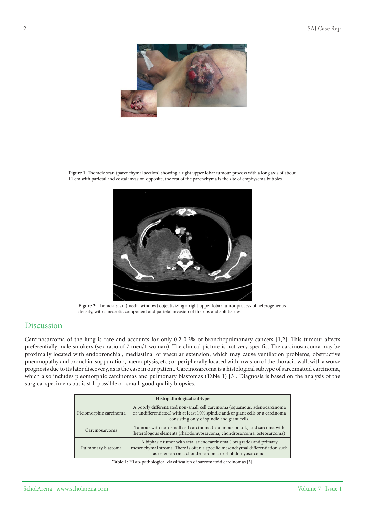

Figure 1: Thoracic scan (parenchymal section) showing a right upper lobar tumour process with a long axis of about 11 cm with parietal and costal invasion opposite, the rest of the parenchyma is the site of emphysema bubbles



Figure 2: Thoracic scan (media window) objectivizing a right upper lobar tumor process of heterogeneous density, with a necrotic component and parietal invasion of the ribs and soft tissues

# Discussion

Carcinosarcoma of the lung is rare and accounts for only 0.2-0.3% of bronchopulmonary cancers [1,2]. This tumour affects preferentially male smokers (sex ratio of 7 men/1 woman). The clinical picture is not very specific. The carcinosarcoma may be proximally located with endobronchial, mediastinal or vascular extension, which may cause ventilation problems, obstructive pneumopathy and bronchial suppuration, haemoptysis, etc.; or peripherally located with invasion of the thoracic wall, with a worse prognosis due to its later discovery, as is the case in our patient. Carcinosarcoma is a histological subtype of sarcomatoid carcinoma, which also includes pleomorphic carcinomas and pulmonary blastomas (Table 1) [3]. Diagnosis is based on the analysis of the surgical specimens but is still possible on small, good quality biopsies.

| Histopathological subtype |                                                                                                                                                                                                               |
|---------------------------|---------------------------------------------------------------------------------------------------------------------------------------------------------------------------------------------------------------|
| Pleiomorphic carcinoma    | A poorly differentiated non-small cell carcinoma (squamous, adenocarcinoma<br>or undifferentiated) with at least 10% spindle and/or giant cells or a carcinoma<br>consisting only of spindle and giant cells. |
| Carcinosarcoma            | Tumour with non-small cell carcinoma (squamous or adk) and sarcoma with<br>heterologous elements (rhabdomyosarcoma, chondrosarcoma, osteosarcoma)                                                             |
| Pulmonary blastoma        | A biphasic tumor with fetal adenocarcinoma (low grade) and primary<br>mesenchymal stroma. There is often a specific mesenchymal differentiation such<br>as osteosarcoma chondrosarcoma or rhabdomyosarcoma.   |

Table 1: Histo-pathological classification of sarcomatoid carcinomas [3]